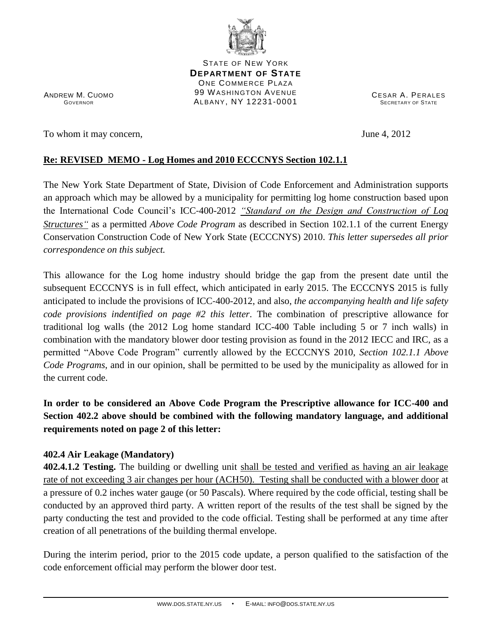

STATE OF NEW YORK **DEPARTMENT OF STATE** ONE COMMERCE PLAZA 99 WASHINGTON AVENUE ALBANY, NY 12231-0001

ANDREW M. CUOMO GOVERNOR

To whom it may concern,  $\frac{1}{2}$  June 4, 2012

CESAR A. PERALES SECRETARY OF STATE

## **Re: REVISED MEMO - Log Homes and 2010 ECCCNYS Section 102.1.1**

The New York State Department of State, Division of Code Enforcement and Administration supports an approach which may be allowed by a municipality for permitting log home construction based upon the International Code Council's ICC‐400-2012 *"Standard on the Design and Construction of Log Structures"* as a permitted *Above Code Program* as described in Section 102.1.1 of the current Energy Conservation Construction Code of New York State (ECCCNYS) 2010. *This letter supersedes all prior correspondence on this subject.*

This allowance for the Log home industry should bridge the gap from the present date until the subsequent ECCCNYS is in full effect, which anticipated in early 2015. The ECCCNYS 2015 is fully anticipated to include the provisions of ICC‐400-2012, and also, *the accompanying health and life safety code provisions indentified on page #2 this letter*. The combination of prescriptive allowance for traditional log walls (the 2012 Log home standard ICC-400 Table including 5 or 7 inch walls) in combination with the mandatory blower door testing provision as found in the 2012 IECC and IRC, as a permitted "Above Code Program" currently allowed by the ECCCNYS 2010, *Section 102.1.1 Above Code Programs*, and in our opinion, shall be permitted to be used by the municipality as allowed for in the current code.

**In order to be considered an Above Code Program the Prescriptive allowance for ICC-400 and Section 402.2 above should be combined with the following mandatory language, and additional requirements noted on page 2 of this letter:**

## **402.4 Air Leakage (Mandatory)**

**402.4.1.2 Testing.** The building or dwelling unit shall be tested and verified as having an air leakage rate of not exceeding 3 air changes per hour (ACH50). Testing shall be conducted with a blower door at a pressure of 0.2 inches water gauge (or 50 Pascals). Where required by the code official, testing shall be conducted by an approved third party. A written report of the results of the test shall be signed by the party conducting the test and provided to the code official. Testing shall be performed at any time after creation of all penetrations of the building thermal envelope.

During the interim period, prior to the 2015 code update, a person qualified to the satisfaction of the code enforcement official may perform the blower door test.